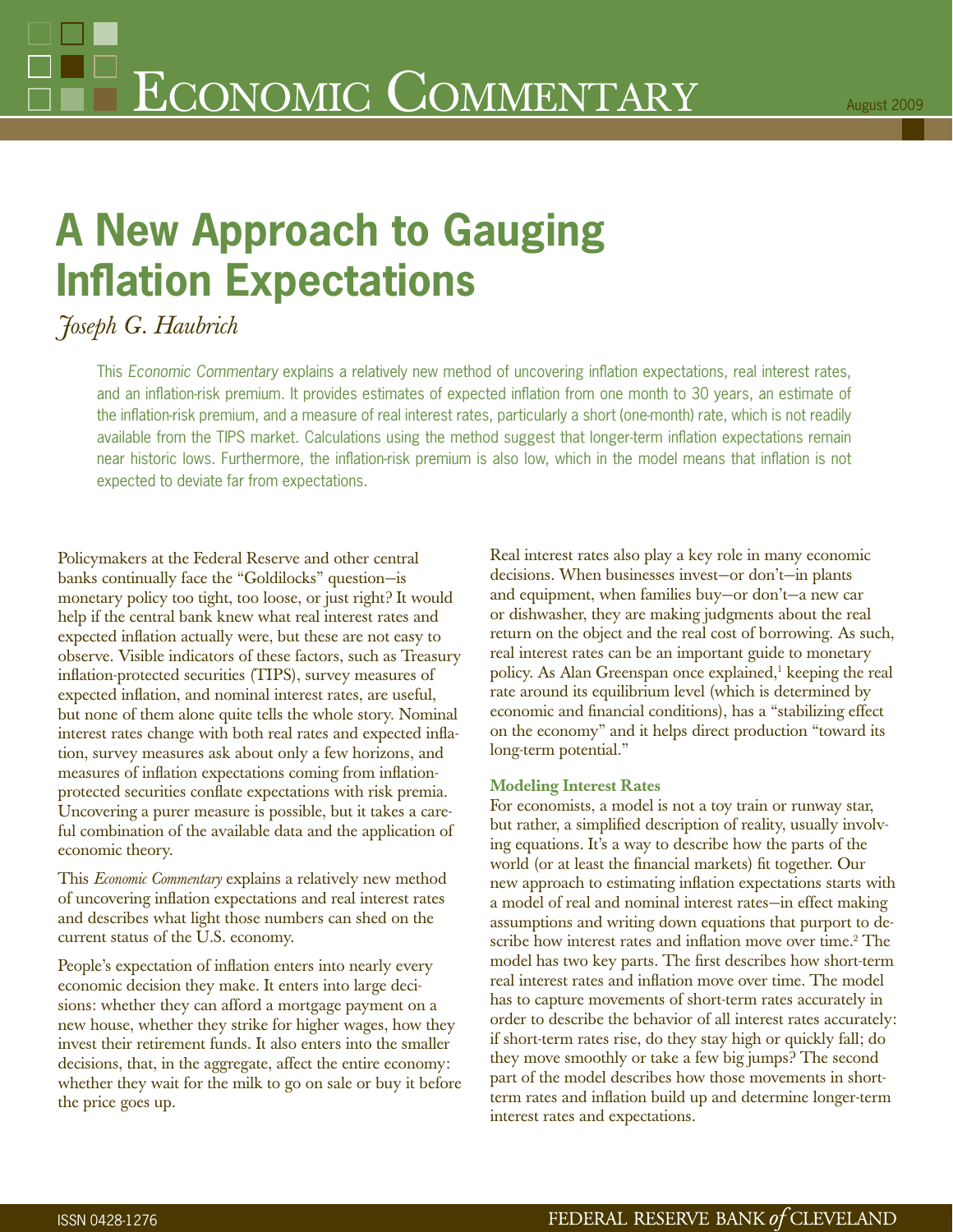# **A New Approach to Gauging Inflation Expectations**

# *Joseph G. Haubrich*

This *Economic Commentary* explains a relatively new method of uncovering inflation expectations, real interest rates, and an inflation-risk premium. It provides estimates of expected inflation from one month to 30 years, an estimate of the inflation-risk premium, and a measure of real interest rates, particularly a short (one-month) rate, which is not readily available from the TIPS market. Calculations using the method suggest that longer-term inflation expectations remain near historic lows. Furthermore, the inflation-risk premium is also low, which in the model means that inflation is not expected to deviate far from expectations.

Policymakers at the Federal Reserve and other central banks continually face the "Goldilocks" question—is monetary policy too tight, too loose, or just right? It would help if the central bank knew what real interest rates and expected inflation actually were, but these are not easy to observe. Visible indicators of these factors, such as Treasury inflation-protected securities (TIPS), survey measures of expected inflation, and nominal interest rates, are useful, but none of them alone quite tells the whole story. Nominal interest rates change with both real rates and expected inflation, survey measures ask about only a few horizons, and measures of inflation expectations coming from inflationprotected securities conflate expectations with risk premia. Uncovering a purer measure is possible, but it takes a careful combination of the available data and the application of economic theory.

This *Economic Commentary* explains a relatively new method of uncovering inflation expectations and real interest rates and describes what light those numbers can shed on the current status of the U.S. economy.

People's expectation of inflation enters into nearly every economic decision they make. It enters into large decisions: whether they can afford a mortgage payment on a new house, whether they strike for higher wages, how they invest their retirement funds. It also enters into the smaller decisions, that, in the aggregate, affect the entire economy: whether they wait for the milk to go on sale or buy it before the price goes up.

Real interest rates also play a key role in many economic decisions. When businesses invest—or don't—in plants and equipment, when families buy—or don't—a new car or dishwasher, they are making judgments about the real return on the object and the real cost of borrowing. As such, real interest rates can be an important guide to monetary policy. As Alan Greenspan once explained,<sup>1</sup> keeping the real rate around its equilibrium level (which is determined by economic and financial conditions), has a "stabilizing effect on the economy" and it helps direct production "toward its long-term potential."

## **Modeling Interest Rates**

For economists, a model is not a toy train or runway star, but rather, a simplified description of reality, usually involving equations. It's a way to describe how the parts of the world (or at least the financial markets) fit together. Our new approach to estimating inflation expectations starts with a model of real and nominal interest rates—in effect making assumptions and writing down equations that purport to describe how interest rates and inflation move over time.<sup>2</sup> The model has two key parts. The first describes how short-term real interest rates and inflation move over time. The model has to capture movements of short-term rates accurately in order to describe the behavior of all interest rates accurately: if short-term rates rise, do they stay high or quickly fall; do they move smoothly or take a few big jumps? The second part of the model describes how those movements in shortterm rates and inflation build up and determine longer-term interest rates and expectations.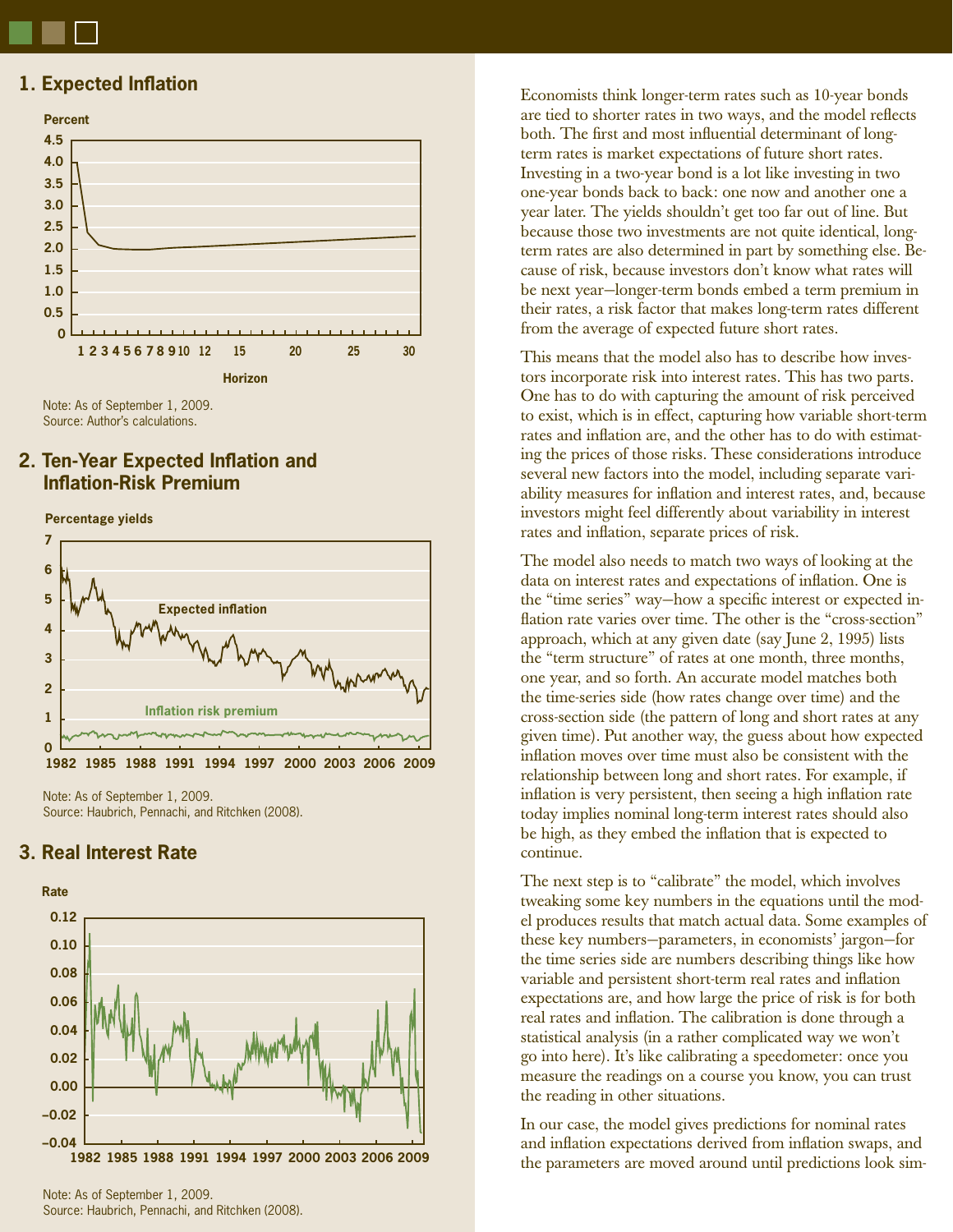# **1. Expected Inflation**



Note: As of September 1, 2009. Source: Author's calculations.

# **2. Ten-Year Expected Inflation and Infl ation-Risk Premium**

**Percentage yields**



Note: As of September 1, 2009. Source: Haubrich, Pennachi, and Ritchken (2008).

# **3. Real Interest Rate**



Note: As of September 1, 2009. Source: Haubrich, Pennachi, and Ritchken (2008). Economists think longer-term rates such as 10-year bonds are tied to shorter rates in two ways, and the model reflects both. The first and most influential determinant of longterm rates is market expectations of future short rates. Investing in a two-year bond is a lot like investing in two one-year bonds back to back: one now and another one a year later. The yields shouldn't get too far out of line. But because those two investments are not quite identical, longterm rates are also determined in part by something else. Because of risk, because investors don't know what rates will be next year—longer-term bonds embed a term premium in their rates, a risk factor that makes long-term rates different from the average of expected future short rates.

This means that the model also has to describe how investors incorporate risk into interest rates. This has two parts. One has to do with capturing the amount of risk perceived to exist, which is in effect, capturing how variable short-term rates and inflation are, and the other has to do with estimating the prices of those risks. These considerations introduce several new factors into the model, including separate variability measures for inflation and interest rates, and, because investors might feel differently about variability in interest rates and inflation, separate prices of risk.

The model also needs to match two ways of looking at the data on interest rates and expectations of inflation. One is the "time series" way—how a specific interest or expected inflation rate varies over time. The other is the "cross-section" approach, which at any given date (say June 2, 1995) lists the "term structure" of rates at one month, three months, one year, and so forth. An accurate model matches both the time-series side (how rates change over time) and the cross-section side (the pattern of long and short rates at any given time). Put another way, the guess about how expected inflation moves over time must also be consistent with the relationship between long and short rates. For example, if inflation is very persistent, then seeing a high inflation rate today implies nominal long-term interest rates should also be high, as they embed the inflation that is expected to continue.

The next step is to "calibrate" the model, which involves tweaking some key numbers in the equations until the model produces results that match actual data. Some examples of these key numbers—parameters, in economists' jargon—for the time series side are numbers describing things like how variable and persistent short-term real rates and inflation expectations are, and how large the price of risk is for both real rates and inflation. The calibration is done through a statistical analysis (in a rather complicated way we won't go into here). It's like calibrating a speedometer: once you measure the readings on a course you know, you can trust the reading in other situations.

In our case, the model gives predictions for nominal rates and inflation expectations derived from inflation swaps, and the parameters are moved around until predictions look sim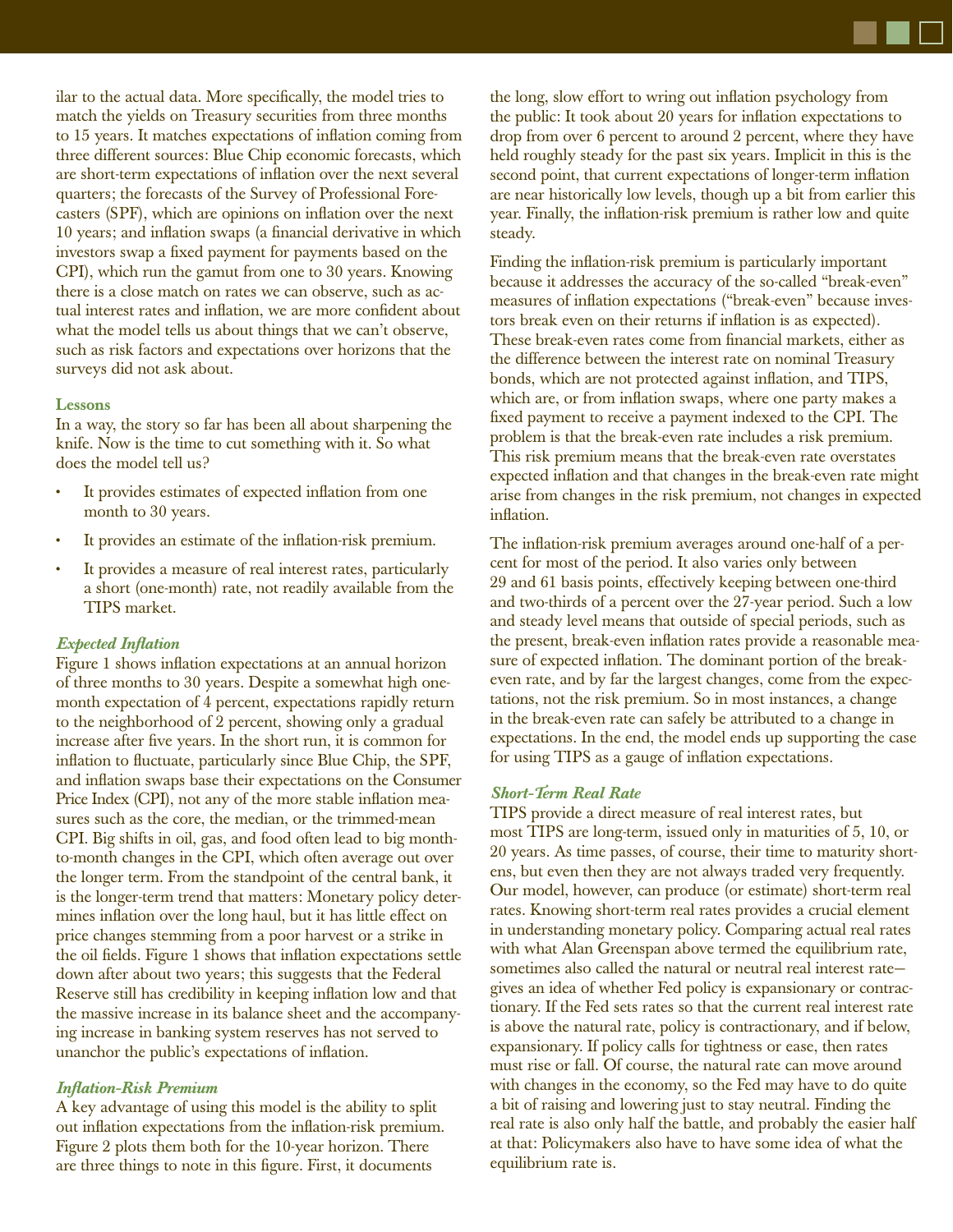ilar to the actual data. More specifically, the model tries to match the yields on Treasury securities from three months to 15 years. It matches expectations of inflation coming from three different sources: Blue Chip economic forecasts, which are short-term expectations of inflation over the next several quarters; the forecasts of the Survey of Professional Forecasters (SPF), which are opinions on inflation over the next 10 years; and inflation swaps (a financial derivative in which investors swap a fixed payment for payments based on the CPI), which run the gamut from one to 30 years. Knowing there is a close match on rates we can observe, such as actual interest rates and inflation, we are more confident about what the model tells us about things that we can't observe, such as risk factors and expectations over horizons that the surveys did not ask about.

#### **Lessons**

In a way, the story so far has been all about sharpening the knife. Now is the time to cut something with it. So what does the model tell us?

- It provides estimates of expected inflation from one month to 30 years.
- It provides an estimate of the inflation-risk premium.
- It provides a measure of real interest rates, particularly a short (one-month) rate, not readily available from the TIPS market.

### **Expected Inflation**

Figure 1 shows inflation expectations at an annual horizon of three months to 30 years. Despite a somewhat high onemonth expectation of 4 percent, expectations rapidly return to the neighborhood of 2 percent, showing only a gradual increase after five years. In the short run, it is common for inflation to fluctuate, particularly since Blue Chip, the SPF, and inflation swaps base their expectations on the Consumer Price Index (CPI), not any of the more stable inflation measures such as the core, the median, or the trimmed-mean CPI. Big shifts in oil, gas, and food often lead to big monthto-month changes in the CPI, which often average out over the longer term. From the standpoint of the central bank, it is the longer-term trend that matters: Monetary policy determines inflation over the long haul, but it has little effect on price changes stemming from a poor harvest or a strike in the oil fields. Figure 1 shows that inflation expectations settle down after about two years; this suggests that the Federal Reserve still has credibility in keeping inflation low and that the massive increase in its balance sheet and the accompanying increase in banking system reserves has not served to unanchor the public's expectations of inflation.

### *Infl ation-Risk Premium*

A key advantage of using this model is the ability to split out inflation expectations from the inflation-risk premium. Figure 2 plots them both for the 10-year horizon. There are three things to note in this figure. First, it documents

the long, slow effort to wring out inflation psychology from the public: It took about 20 years for inflation expectations to drop from over 6 percent to around 2 percent, where they have held roughly steady for the past six years. Implicit in this is the second point, that current expectations of longer-term inflation are near historically low levels, though up a bit from earlier this year. Finally, the inflation-risk premium is rather low and quite steady.

Finding the inflation-risk premium is particularly important because it addresses the accuracy of the so-called "break-even" measures of inflation expectations ("break-even" because investors break even on their returns if inflation is as expected). These break-even rates come from financial markets, either as the difference between the interest rate on nominal Treasury bonds, which are not protected against inflation, and TIPS, which are, or from inflation swaps, where one party makes a fixed payment to receive a payment indexed to the CPI. The problem is that the break-even rate includes a risk premium. This risk premium means that the break-even rate overstates expected inflation and that changes in the break-even rate might arise from changes in the risk premium, not changes in expected inflation.

The inflation-risk premium averages around one-half of a percent for most of the period. It also varies only between 29 and 61 basis points, effectively keeping between one-third and two-thirds of a percent over the 27-year period. Such a low and steady level means that outside of special periods, such as the present, break-even inflation rates provide a reasonable measure of expected inflation. The dominant portion of the breakeven rate, and by far the largest changes, come from the expectations, not the risk premium. So in most instances, a change in the break-even rate can safely be attributed to a change in expectations. In the end, the model ends up supporting the case for using TIPS as a gauge of inflation expectations.

### *Short-Term Real Rate*

TIPS provide a direct measure of real interest rates, but most TIPS are long-term, issued only in maturities of 5, 10, or 20 years. As time passes, of course, their time to maturity shortens, but even then they are not always traded very frequently. Our model, however, can produce (or estimate) short-term real rates. Knowing short-term real rates provides a crucial element in understanding monetary policy. Comparing actual real rates with what Alan Greenspan above termed the equilibrium rate, sometimes also called the natural or neutral real interest rate gives an idea of whether Fed policy is expansionary or contractionary. If the Fed sets rates so that the current real interest rate is above the natural rate, policy is contractionary, and if below, expansionary. If policy calls for tightness or ease, then rates must rise or fall. Of course, the natural rate can move around with changes in the economy, so the Fed may have to do quite a bit of raising and lowering just to stay neutral. Finding the real rate is also only half the battle, and probably the easier half at that: Policymakers also have to have some idea of what the equilibrium rate is.